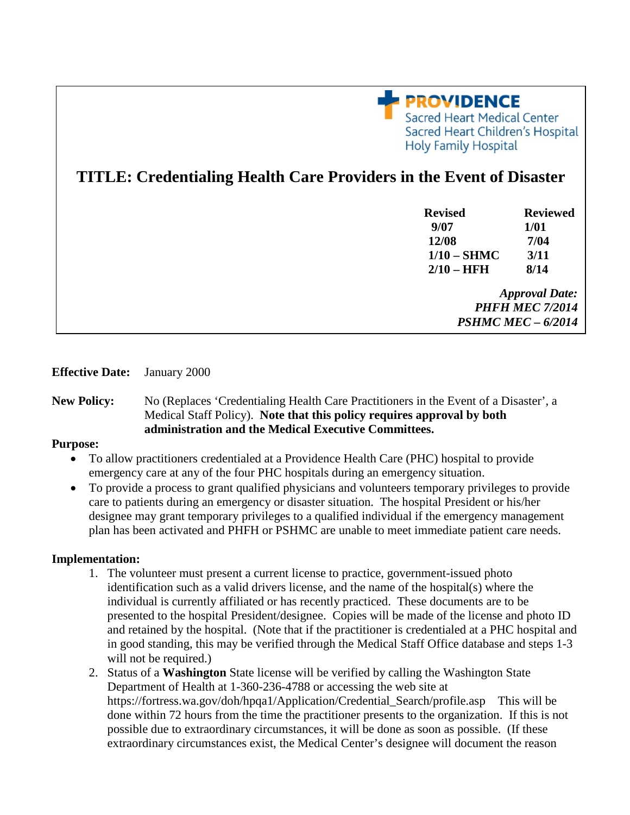

# **TITLE: Credentialing Health Care Providers in the Event of Disaster**

| <b>Revised</b>            | <b>Reviewed</b> |
|---------------------------|-----------------|
| 9/07                      | 1/01            |
| 12/08                     | 7/04            |
| $1/10 - SHMC$             | 3/11            |
| $2/10 - HFH$              | 8/14            |
| <b>Approval Date:</b>     |                 |
| <b>PHFH MEC 7/2014</b>    |                 |
| <b>PSHMC MEC - 6/2014</b> |                 |

## **Effective Date:** January 2000

## **New Policy:** No (Replaces 'Credentialing Health Care Practitioners in the Event of a Disaster', a Medical Staff Policy). **Note that this policy requires approval by both administration and the Medical Executive Committees.**

#### **Purpose:**

- To allow practitioners credentialed at a Providence Health Care (PHC) hospital to provide emergency care at any of the four PHC hospitals during an emergency situation.
- To provide a process to grant qualified physicians and volunteers temporary privileges to provide care to patients during an emergency or disaster situation. The hospital President or his/her designee may grant temporary privileges to a qualified individual if the emergency management plan has been activated and PHFH or PSHMC are unable to meet immediate patient care needs.

#### **Implementation:**

- 1. The volunteer must present a current license to practice, government-issued photo identification such as a valid drivers license, and the name of the hospital(s) where the individual is currently affiliated or has recently practiced. These documents are to be presented to the hospital President/designee. Copies will be made of the license and photo ID and retained by the hospital. (Note that if the practitioner is credentialed at a PHC hospital and in good standing, this may be verified through the Medical Staff Office database and steps 1-3 will not be required.)
- 2. Status of a **Washington** State license will be verified by calling the Washington State Department of Health at 1-360-236-4788 or accessing the web site at https://fortress.wa.gov/doh/hpqa1/Application/Credential\_Search/profile.asp This will be done within 72 hours from the time the practitioner presents to the organization. If this is not possible due to extraordinary circumstances, it will be done as soon as possible. (If these extraordinary circumstances exist, the Medical Center's designee will document the reason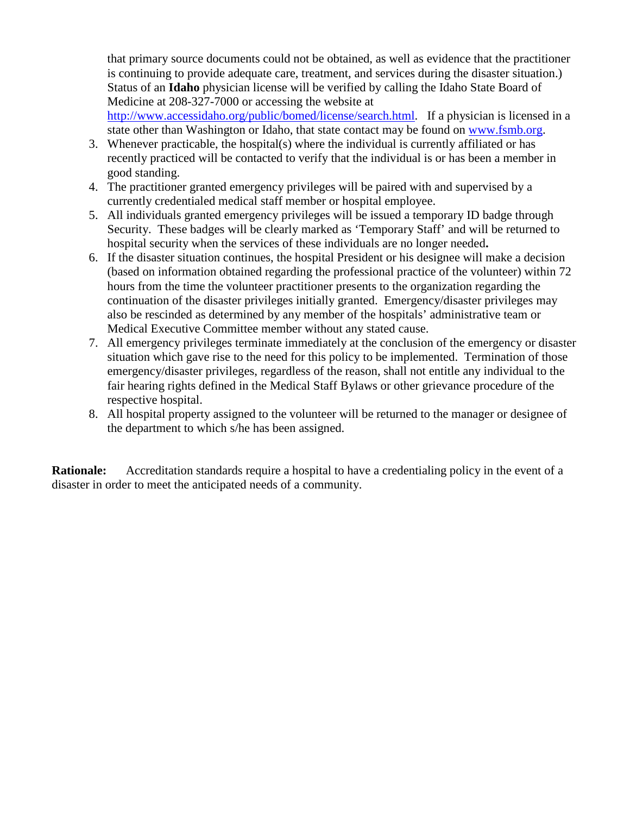that primary source documents could not be obtained, as well as evidence that the practitioner is continuing to provide adequate care, treatment, and services during the disaster situation.) Status of an **Idaho** physician license will be verified by calling the Idaho State Board of Medicine at 208-327-7000 or accessing the website at

http://www.accessidaho.org/public/bomed/license/search.html. If a physician is licensed in a state other than Washington or Idaho, that state contact may be found on www.fsmb.org.

- 3. Whenever practicable, the hospital(s) where the individual is currently affiliated or has recently practiced will be contacted to verify that the individual is or has been a member in good standing.
- 4. The practitioner granted emergency privileges will be paired with and supervised by a currently credentialed medical staff member or hospital employee.
- 5. All individuals granted emergency privileges will be issued a temporary ID badge through Security. These badges will be clearly marked as 'Temporary Staff' and will be returned to hospital security when the services of these individuals are no longer needed**.**
- 6. If the disaster situation continues, the hospital President or his designee will make a decision (based on information obtained regarding the professional practice of the volunteer) within 72 hours from the time the volunteer practitioner presents to the organization regarding the continuation of the disaster privileges initially granted. Emergency/disaster privileges may also be rescinded as determined by any member of the hospitals' administrative team or Medical Executive Committee member without any stated cause.
- 7. All emergency privileges terminate immediately at the conclusion of the emergency or disaster situation which gave rise to the need for this policy to be implemented. Termination of those emergency/disaster privileges, regardless of the reason, shall not entitle any individual to the fair hearing rights defined in the Medical Staff Bylaws or other grievance procedure of the respective hospital.
- 8. All hospital property assigned to the volunteer will be returned to the manager or designee of the department to which s/he has been assigned.

**Rationale:** Accreditation standards require a hospital to have a credentialing policy in the event of a disaster in order to meet the anticipated needs of a community.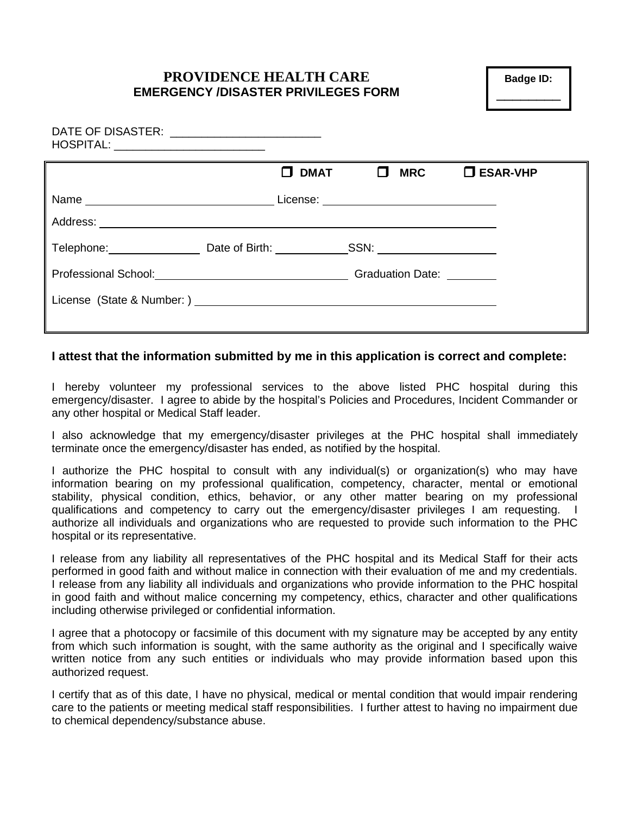# **PROVIDENCE HEALTH CARE EMERGENCY /DISASTER PRIVILEGES FORM**

**Badge ID:**  \_\_\_\_\_\_\_\_

| DATE OF DISASTER: _________________________<br>HOSPITAL: __________________________ |                  |                         |                    |
|-------------------------------------------------------------------------------------|------------------|-------------------------|--------------------|
|                                                                                     | П<br><b>DMAT</b> | $\Box$<br><b>MRC</b>    | $\square$ ESAR-VHP |
|                                                                                     |                  |                         |                    |
|                                                                                     |                  |                         |                    |
| Telephone: Date of Birth: SSN:                                                      |                  |                         |                    |
|                                                                                     |                  | <b>Graduation Date:</b> |                    |
|                                                                                     |                  |                         |                    |
|                                                                                     |                  |                         |                    |

## **I attest that the information submitted by me in this application is correct and complete:**

I hereby volunteer my professional services to the above listed PHC hospital during this emergency/disaster. I agree to abide by the hospital's Policies and Procedures, Incident Commander or any other hospital or Medical Staff leader.

I also acknowledge that my emergency/disaster privileges at the PHC hospital shall immediately terminate once the emergency/disaster has ended, as notified by the hospital.

I authorize the PHC hospital to consult with any individual(s) or organization(s) who may have information bearing on my professional qualification, competency, character, mental or emotional stability, physical condition, ethics, behavior, or any other matter bearing on my professional qualifications and competency to carry out the emergency/disaster privileges I am requesting. I authorize all individuals and organizations who are requested to provide such information to the PHC hospital or its representative.

I release from any liability all representatives of the PHC hospital and its Medical Staff for their acts performed in good faith and without malice in connection with their evaluation of me and my credentials. I release from any liability all individuals and organizations who provide information to the PHC hospital in good faith and without malice concerning my competency, ethics, character and other qualifications including otherwise privileged or confidential information.

I agree that a photocopy or facsimile of this document with my signature may be accepted by any entity from which such information is sought, with the same authority as the original and I specifically waive written notice from any such entities or individuals who may provide information based upon this authorized request.

I certify that as of this date, I have no physical, medical or mental condition that would impair rendering care to the patients or meeting medical staff responsibilities. I further attest to having no impairment due to chemical dependency/substance abuse.